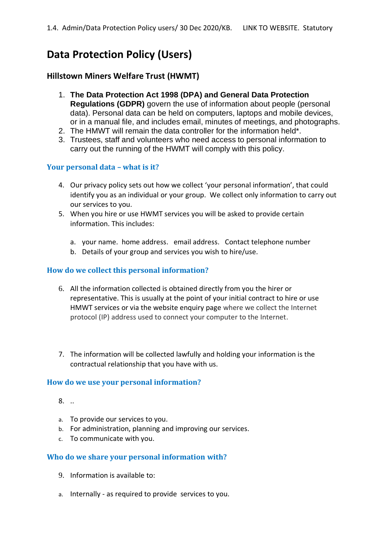# **Data Protection Policy (Users)**

# **Hillstown Miners Welfare Trust (HWMT)**

- 1. **The Data Protection Act 1998 (DPA) and General Data Protection Regulations (GDPR)** govern the use of information about people (personal data). Personal data can be held on computers, laptops and mobile devices, or in a manual file, and includes email, minutes of meetings, and photographs.
- 2. The HMWT will remain the data controller for the information held\*.
- 3. Trustees, staff and volunteers who need access to personal information to carry out the running of the HWMT will comply with this policy.

# **Your personal data – what is it?**

- 4. Our privacy policy sets out how we collect 'your personal information', that could identify you as an individual or your group. We collect only information to carry out our services to you.
- 5. When you hire or use HWMT services you will be asked to provide certain information. This includes:
	- a. your name. home address. email address. Contact telephone number
	- b. Details of your group and services you wish to hire/use.

## **How do we collect this personal information?**

- 6. All the information collected is obtained directly from you the hirer or representative. This is usually at the point of your initial contract to hire or use HMWT services or via the website enquiry page where we collect the Internet protocol (IP) address used to connect your computer to the Internet.
- 7. The information will be collected lawfully and holding your information is the contractual relationship that you have with us.

#### **How do we use your personal information?**

- 8. ..
- a. To provide our services to you.
- b. For administration, planning and improving our services.
- c. To communicate with you.

## **Who do we share your personal information with?**

- 9. Information is available to:
- a. Internally as required to provide services to you.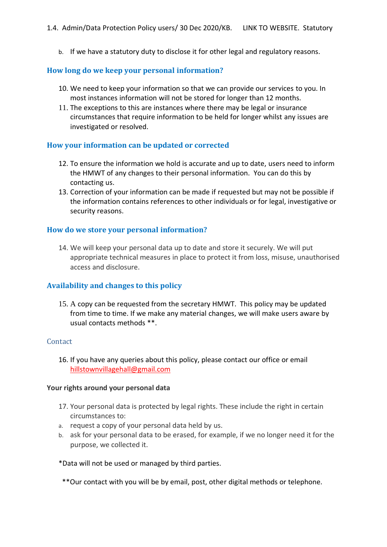b. If we have a statutory duty to disclose it for other legal and regulatory reasons.

#### **How long do we keep your personal information?**

- 10. We need to keep your information so that we can provide our services to you. In most instances information will not be stored for longer than 12 months.
- 11. The exceptions to this are instances where there may be legal or insurance circumstances that require information to be held for longer whilst any issues are investigated or resolved.

#### **How your information can be updated or corrected**

- 12. To ensure the information we hold is accurate and up to date, users need to inform the HMWT of any changes to their personal information. You can do this by contacting us.
- 13. Correction of your information can be made if requested but may not be possible if the information contains references to other individuals or for legal, investigative or security reasons.

#### **How do we store your personal information?**

14. We will keep your personal data up to date and store it securely. We will put appropriate technical measures in place to protect it from loss, misuse, unauthorised access and disclosure.

## **Availability and changes to this policy**

15. A copy can be requested from the secretary HMWT. This policy may be updated from time to time. If we make any material changes, we will make users aware by usual contacts methods \*\*.

#### **Contact**

16. If you have any queries about this policy, please contact our office or email hillstownvillagehall@gmail.com

#### **Your rights around your personal data**

- 17. Your personal data is protected by legal rights. These include the right in certain circumstances to:
- a. request a copy of your personal data held by us.
- b. ask for your personal data to be erased, for example, if we no longer need it for the purpose, we collected it.

\*Data will not be used or managed by third parties.

\*\*Our contact with you will be by email, post, other digital methods or telephone.